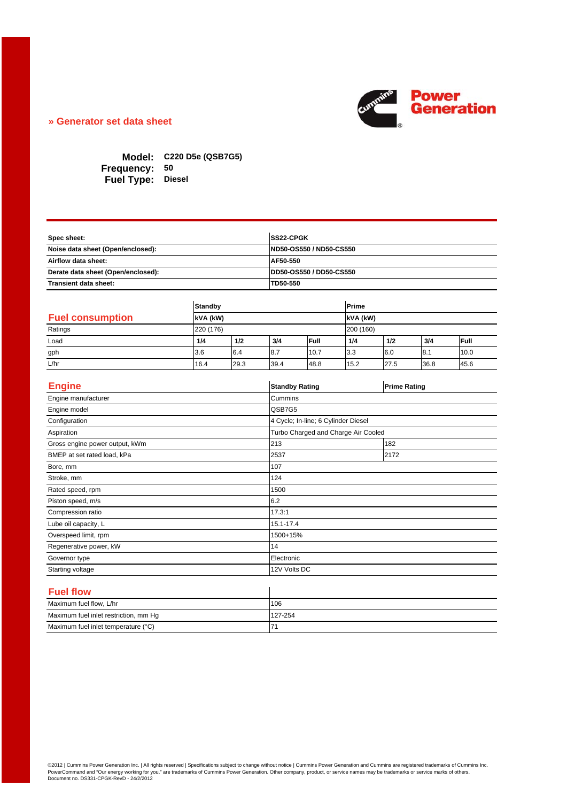

## **» Generator set data sheet**

**C220 D5e (QSB7G5) Model: 50 Frequency: Fuel Type: Diesel** 

| Spec sheet:                        | <b>SS22-CPGK</b>                |
|------------------------------------|---------------------------------|
| Noise data sheet (Open/enclosed):  | <b>IND50-OS550 / ND50-CS550</b> |
| Airflow data sheet:                | AF50-550                        |
| Derate data sheet (Open/enclosed): | <b>IDD50-OS550 / DD50-CS550</b> |
| Transient data sheet:              | TD50-550                        |

|                         |      | <b>Standby</b><br>kVA (kW) |      |      | Prime     |          |      |      |  |
|-------------------------|------|----------------------------|------|------|-----------|----------|------|------|--|
| <b>Fuel consumption</b> |      |                            |      |      |           | kVA (kW) |      |      |  |
| Ratings                 |      | 220 (176)                  |      |      | 200 (160) |          |      |      |  |
| Load                    | 1/4  | 1/2                        | 3/4  | Full | 1/4       | 1/2      | 3/4  | Full |  |
| gph                     | 3.6  | 6.4                        | 8.7  | 10.7 | 3.3       | 6.0      | 8.1  | 10.0 |  |
| L/hr                    | 16.4 | 29.3                       | 39.4 | 48.8 | 15.2      | 27.5     | 36.8 | 45.6 |  |

| <b>Engine</b>                         | <b>Standby Rating</b>               | <b>Prime Rating</b> |  |  |
|---------------------------------------|-------------------------------------|---------------------|--|--|
| Engine manufacturer                   | Cummins                             |                     |  |  |
| Engine model                          | QSB7G5                              |                     |  |  |
| Configuration                         | 4 Cycle; In-line; 6 Cylinder Diesel |                     |  |  |
| Aspiration                            | Turbo Charged and Charge Air Cooled |                     |  |  |
| Gross engine power output, kWm        | 213                                 | 182                 |  |  |
| BMEP at set rated load, kPa           | 2537                                | 2172                |  |  |
| Bore, mm                              | 107                                 |                     |  |  |
| Stroke, mm                            | 124                                 |                     |  |  |
| Rated speed, rpm                      | 1500                                |                     |  |  |
| Piston speed, m/s                     | 6.2                                 |                     |  |  |
| Compression ratio                     | 17.3:1                              |                     |  |  |
| Lube oil capacity, L                  | 15.1-17.4                           |                     |  |  |
| Overspeed limit, rpm                  | 1500+15%                            |                     |  |  |
| Regenerative power, kW                | 14                                  |                     |  |  |
| Governor type                         | Electronic                          |                     |  |  |
| Starting voltage                      | 12V Volts DC                        |                     |  |  |
|                                       |                                     |                     |  |  |
| <b>Fuel flow</b>                      |                                     |                     |  |  |
| Maximum fuel flow, L/hr               | 106                                 |                     |  |  |
| Maximum fuel inlet restriction, mm Hg | 127-254                             |                     |  |  |
| Maximum fuel inlet temperature (°C)   | 71                                  |                     |  |  |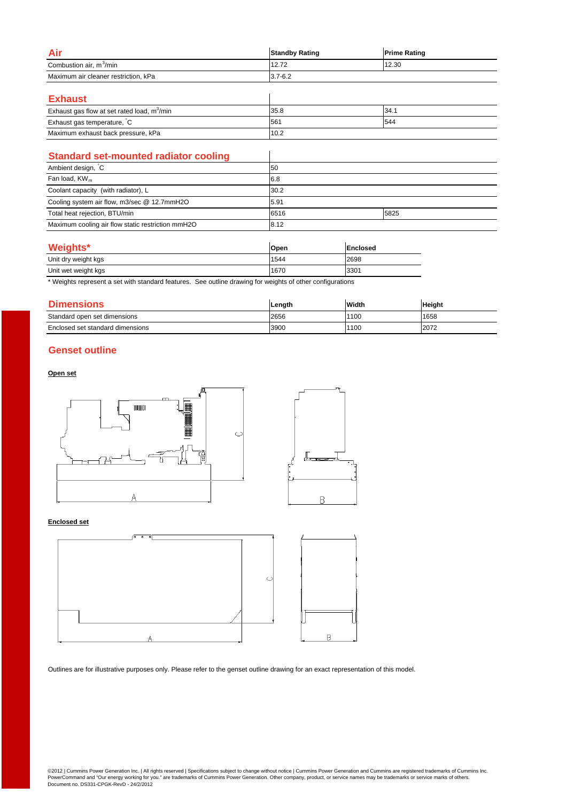| Air                                  | <b>Standby Rating</b> | <b>Prime Rating</b> |
|--------------------------------------|-----------------------|---------------------|
| Combustion air, m <sup>3</sup> /min  | 12.72                 | 12.30               |
| Maximum air cleaner restriction, kPa | $3.7 - 6.2$           |                     |
|                                      |                       |                     |
| <b>The Second Contract Contract</b>  |                       |                     |

| <b>Exhaust</b>                                          |      |       |
|---------------------------------------------------------|------|-------|
| Exhaust gas flow at set rated load, m <sup>3</sup> /min | 35.8 | 134.1 |
| Exhaust gas temperature, C                              | 1561 | 544   |
| Maximum exhaust back pressure, kPa                      | 10.2 |       |

| <b>Standard set-mounted radiator cooling</b>      |      |      |
|---------------------------------------------------|------|------|
| Ambient design, C                                 | 50   |      |
| Fan load, $KW_m$                                  | 6.8  |      |
| Coolant capacity (with radiator), L               | 30.2 |      |
| Cooling system air flow, m3/sec @ 12.7mmH2O       | 5.91 |      |
| Total heat rejection, BTU/min                     | 6516 | 5825 |
| Maximum cooling air flow static restriction mmH2O | 8.12 |      |

# **Weights\***

| <b>Weights</b> *    | Open | Enclosed |
|---------------------|------|----------|
| Unit dry weight kgs | 1544 | 2698     |
| Unit wet weight kgs | 1670 | 3301     |

\* Weights represent a set with standard features. See outline drawing for weights of other configurations

| <b>Dimensions</b>                | Length | Width | <b>Height</b> |
|----------------------------------|--------|-------|---------------|
| Standard open set dimensions     | 2656   | 1100  | 1658          |
| Enclosed set standard dimensions | 3900   | 1100  | 2072          |

# **Genset outline**

#### **Open set**



#### **Enclosed set**



Outlines are for illustrative purposes only. Please refer to the genset outline drawing for an exact representation of this model.